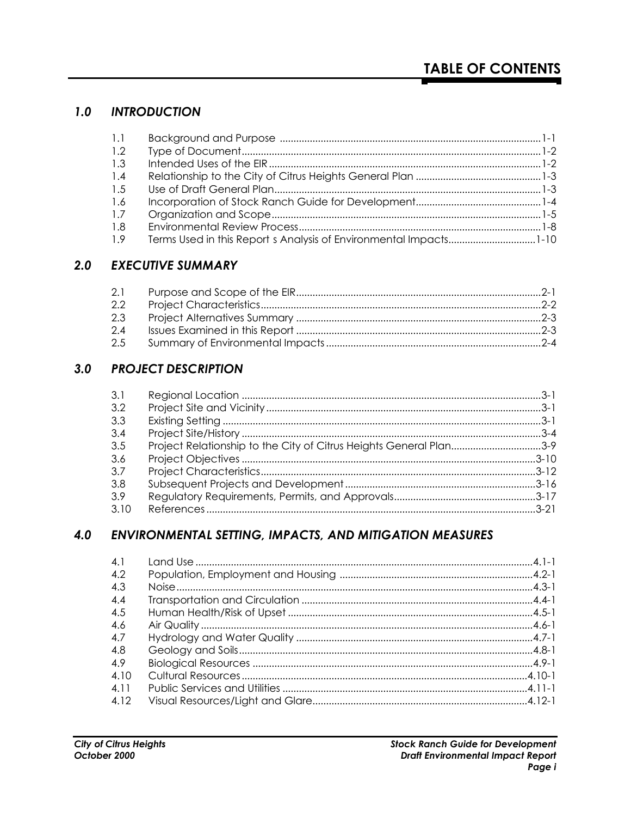#### $1.0$ **INTRODUCTION**

| 1.1 |  |
|-----|--|
| 1.2 |  |
| 1.3 |  |
| 1.4 |  |
| 1.5 |  |
| 1.6 |  |
| 1.7 |  |
| 1.8 |  |
| 1.9 |  |

### **2.0 EXECUTIVE SUMMARY**

| 2.1 |  |
|-----|--|
| 2.2 |  |
| 2.3 |  |
| 2.4 |  |
| 2.5 |  |

#### $3.0$ **PROJECT DESCRIPTION**

| 3.1  |                                                                    |  |
|------|--------------------------------------------------------------------|--|
| 3.2  |                                                                    |  |
| 3.3  |                                                                    |  |
| 3.4  |                                                                    |  |
| 3.5  | Project Relationship to the City of Citrus Heights General Plan3-9 |  |
| -3.6 |                                                                    |  |
| 3.7  |                                                                    |  |
| -3.8 |                                                                    |  |
| -3.9 |                                                                    |  |
| 3.10 |                                                                    |  |

#### 4.0 ENVIRONMENTAL SETTING, IMPACTS, AND MITIGATION MEASURES

| 4.1   |  |
|-------|--|
| 4.2   |  |
| 4.3   |  |
| 4.4   |  |
| 4.5   |  |
| 4.6   |  |
| 4.7   |  |
| 4.8   |  |
| 4.9   |  |
| 4.10  |  |
| 4 1 1 |  |
| 4 1 2 |  |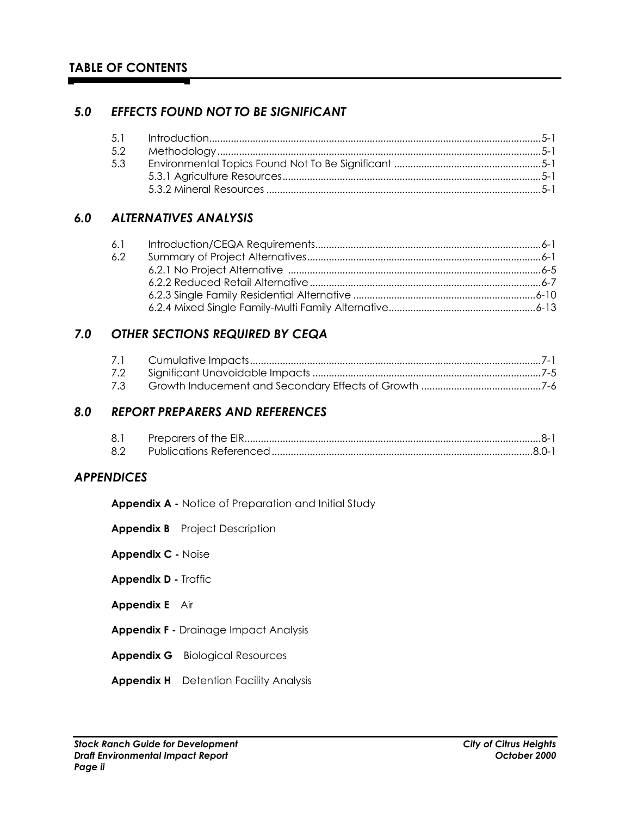### *5.0 EFFECTS FOUND NOT TO BE SIGNIFICANT*

### *6.0 ALTERNATIVES ANALYSIS*

| 6.1 |  |
|-----|--|
| 6.2 |  |
|     |  |
|     |  |
|     |  |
|     |  |
|     |  |

## *7.0 OTHER SECTIONS REQUIRED BY CEQA*

| 7.3 |  |
|-----|--|

#### *8.0 REPORT PREPARERS AND REFERENCES*

| -8.1 |  |
|------|--|
| 8.2  |  |

#### *APPENDICES*

**Appendix A -** Notice of Preparation and Initial Study

- **Appendix B** Project Description
- **Appendix C -** Noise
- **Appendix D -** Traffic
- **Appendix E** Air
- **Appendix F -** Drainage Impact Analysis
- **Appendix G** Biological Resources
- **Appendix H** Detention Facility Analysis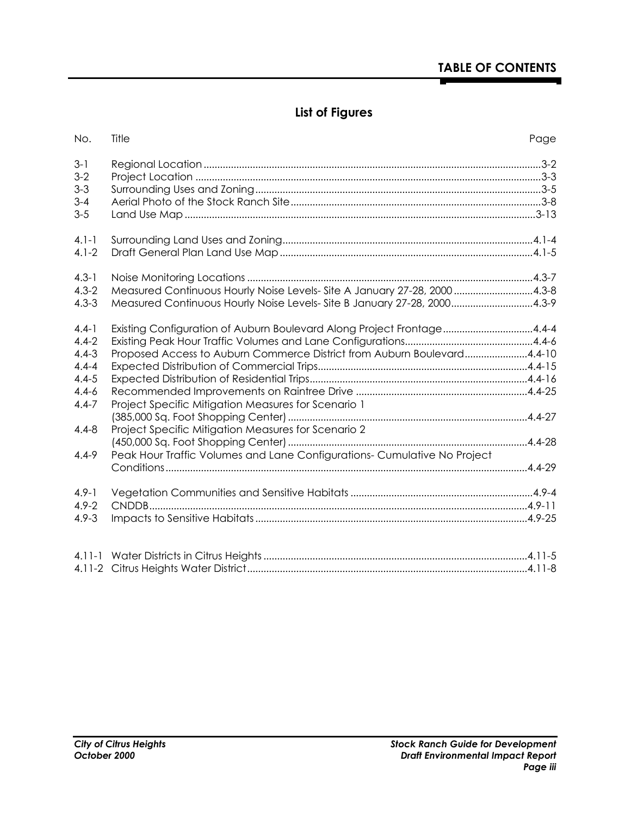# **List of Figures**

| No.       | Title                                                                    | Page |
|-----------|--------------------------------------------------------------------------|------|
| $3-1$     |                                                                          |      |
| $3-2$     |                                                                          |      |
| $3 - 3$   |                                                                          |      |
| $3 - 4$   |                                                                          |      |
| $3 - 5$   |                                                                          |      |
| $4.1 - 1$ |                                                                          |      |
| $4.1 - 2$ |                                                                          |      |
| $4.3 - 1$ |                                                                          |      |
| $4.3 - 2$ | Measured Continuous Hourly Noise Levels- Site A January 27-28, 20004.3-8 |      |
| $4.3 - 3$ | Measured Continuous Hourly Noise Levels- Site B January 27-28, 20004.3-9 |      |
| $4.4 - 1$ | Existing Configuration of Auburn Boulevard Along Project Frontage4.4-4   |      |
| $4.4 - 2$ |                                                                          |      |
| $4.4 - 3$ | Proposed Access to Auburn Commerce District from Auburn Boulevard4.4-10  |      |
| $4.4 - 4$ |                                                                          |      |
| $4.4 - 5$ |                                                                          |      |
| $4.4 - 6$ |                                                                          |      |
| $4.4 - 7$ | Project Specific Mitigation Measures for Scenario 1                      |      |
|           |                                                                          |      |
| $4.4 - 8$ | Project Specific Mitigation Measures for Scenario 2                      |      |
|           |                                                                          |      |
| $4.4 - 9$ | Peak Hour Traffic Volumes and Lane Configurations- Cumulative No Project |      |
|           |                                                                          |      |
| $4.9 - 1$ |                                                                          |      |
| $4.9 - 2$ |                                                                          |      |
| $4.9 - 3$ |                                                                          |      |
|           |                                                                          |      |
|           |                                                                          |      |
|           |                                                                          |      |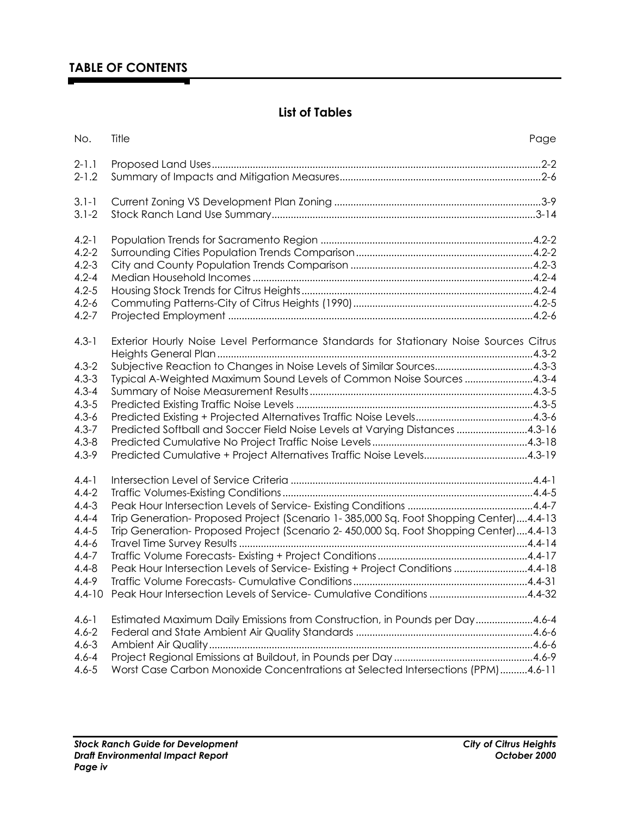# **List of Tables**

| No.                    | Title                                                                                 | Page |
|------------------------|---------------------------------------------------------------------------------------|------|
| $2 - 1.1$              |                                                                                       |      |
| $2 - 1.2$              |                                                                                       |      |
| $3.1 - 1$              |                                                                                       |      |
| $3.1 - 2$              |                                                                                       |      |
| $4.2 - 1$              |                                                                                       |      |
| $4.2 - 2$              |                                                                                       |      |
| $4.2 - 3$              |                                                                                       |      |
| $4.2 - 4$              |                                                                                       |      |
| $4.2 - 5$              |                                                                                       |      |
| $4.2 - 6$              |                                                                                       |      |
| $4.2 - 7$              |                                                                                       |      |
| $4.3 - 1$              | Exterior Hourly Noise Level Performance Standards for Stationary Noise Sources Citrus |      |
|                        |                                                                                       |      |
| $4.3 - 2$<br>$4.3 - 3$ | Subjective Reaction to Changes in Noise Levels of Similar Sources4.3-3                |      |
|                        | Typical A-Weighted Maximum Sound Levels of Common Noise Sources 4.3-4                 |      |
| $4.3 - 4$<br>$4.3 - 5$ |                                                                                       |      |
| $4.3 - 6$              |                                                                                       |      |
|                        |                                                                                       |      |
| $4.3 - 7$              | Predicted Softball and Soccer Field Noise Levels at Varying Distances 4.3-16          |      |
| $4.3 - 8$              |                                                                                       |      |
| $4.3 - 9$              |                                                                                       |      |
| $4.4 - 1$              |                                                                                       |      |
| $4.4 - 2$              |                                                                                       |      |
| $4.4 - 3$              |                                                                                       |      |
| $4.4 - 4$              | Trip Generation-Proposed Project (Scenario 1-385,000 Sq. Foot Shopping Center)4.4-13  |      |
| $4.4 - 5$              | Trip Generation-Proposed Project (Scenario 2-450,000 Sq. Foot Shopping Center)4.4-13  |      |
| $4.4 - 6$              |                                                                                       |      |
| $4.4 - 7$              |                                                                                       |      |
| $4.4 - 8$              | Peak Hour Intersection Levels of Service-Existing + Project Conditions 4.4-18         |      |
| $4.4 - 9$              |                                                                                       |      |
| $4.4 - 10$             | Peak Hour Intersection Levels of Service-Cumulative Conditions 4.4-32                 |      |
| $4.6 - 1$              | Estimated Maximum Daily Emissions from Construction, in Pounds per Day4.6-4           |      |
| $4.6 - 2$              |                                                                                       |      |
| $4.6 - 3$              |                                                                                       |      |
| $4.6 - 4$              |                                                                                       |      |
| $4.6 - 5$              | Worst Case Carbon Monoxide Concentrations at Selected Intersections (PPM)4.6-11       |      |